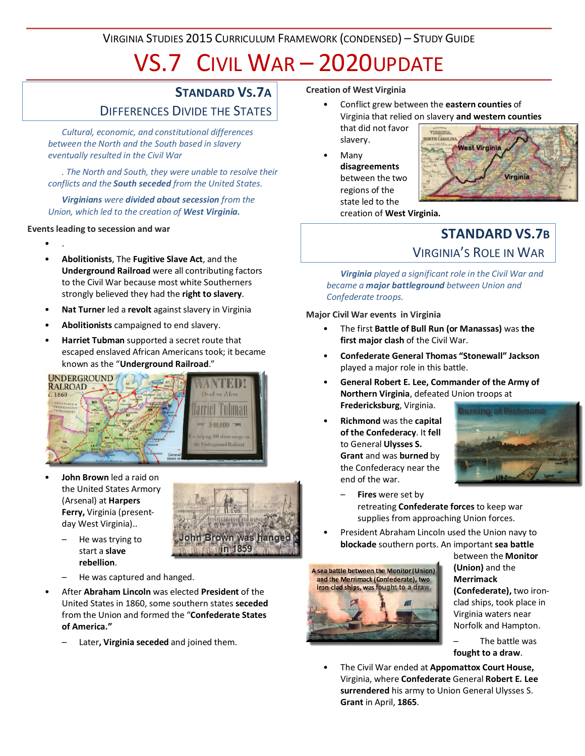VIRGINIA STUDIES 2015 CURRICULUM FRAMEWORK (CONDENSED) – STUDY GUIDE

# VS.7 CIVIL WAR – 2020UPDATE

## **STANDARD VS.7A**

# DIFFERENCES DIVIDE THE STATES

*Cultural, economic, and constitutional differences between the North and the South based in slavery eventually resulted in the Civil War*

*. The North and South, they were unable to resolve their conflicts and the South seceded from the United States.*

*Virginians were divided about secession from the Union, which led to the creation of West Virginia.*

#### **Events leading to secession and war**

• .

- **Abolitionists**, The **Fugitive Slave Act**, and the **Underground Railroad** were all contributing factors to the Civil War because most white Southerners strongly believed they had the **right to slavery**.
- **Nat Turner** led a **revolt** against slavery in Virginia
- **Abolitionists** campaigned to end slavery.
- **Harriet Tubman** supported a secret route that escaped enslaved African Americans took; it became known as the "**Underground Railroad**."



• **John Brown** led a raid on the United States Armory (Arsenal) at **Harpers Ferry,** Virginia (presentday West Virginia)..



- He was trying to start a **slave rebellion**.
- He was captured and hanged.
- After **Abraham Lincoln** was elected **President** of the United States in 1860, some southern states **seceded** from the Union and formed the "**Confederate States of America."**
	- Later**, Virginia seceded** and joined them.

#### **Creation of West Virginia**

- Conflict grew between the **eastern counties** of Virginia that relied on slavery **and western counties** that did not favor **YERGIN** slavery. **RTH CAROL**
- Many **disagreements** between the two regions of the state led to the



creation of **West Virginia.**

# **STANDARD VS.7B** VIRGINIA'S ROLE IN WAR

*Virginia played a significant role in the Civil War and became a major battleground between Union and Confederate troops.*

**Major Civil War events in Virginia**

- The first **Battle of Bull Run (or Manassas)** was **the first major clash** of the Civil War.
- **Confederate General Thomas "Stonewall" Jackson** played a major role in this battle.
- **General Robert E. Lee, Commander of the Army of Northern Virginia**, defeated Union troops at **Fredericksburg**, Virginia.
- **Richmond** was the **capital of the Confederacy**. It **fell** to General **Ulysses S. Grant** and was **burned** by the Confederacy near the end of the war.



- **Fires** were set by retreating **Confederate forces** to keep war supplies from approaching Union forces.
- President Abraham Lincoln used the Union navy to **blockade** southern ports. An important **sea battle**



between the **Monitor (Union)** and the **Merrimack (Confederate),** two ironclad ships, took place in Virginia waters near Norfolk and Hampton.

The battle was **fought to a draw**.

• The Civil War ended at **Appomattox Court House,** Virginia, where **Confederate** General **Robert E. Lee surrendered** his army to Union General Ulysses S. **Grant** in April, **1865**.